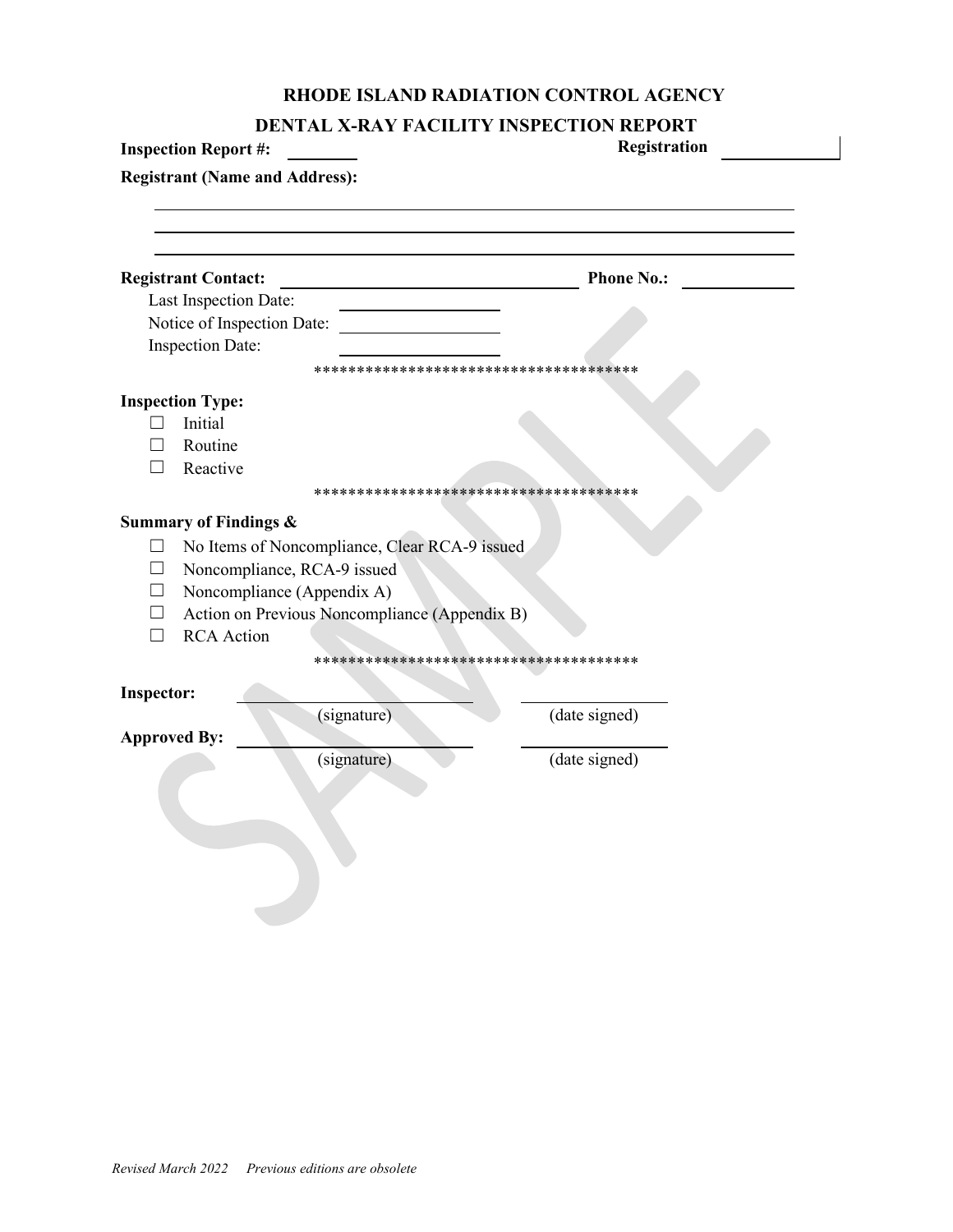## **RHODE ISLAND RADIATION CONTROL AGENCY**

| DENTAL X-RAY FACILITY INSPECTION REPORT |  |  |
|-----------------------------------------|--|--|
|-----------------------------------------|--|--|

|                   | DENTAL A-NAT FACILITT INSI ECTION KEI ONI<br><b>Inspection Report #:</b> | Registration                           |
|-------------------|--------------------------------------------------------------------------|----------------------------------------|
|                   | <b>Registrant (Name and Address):</b>                                    |                                        |
|                   |                                                                          |                                        |
|                   |                                                                          |                                        |
|                   | <b>Registrant Contact:</b>                                               | <b>Phone No.:</b>                      |
|                   | Last Inspection Date:                                                    |                                        |
|                   | Notice of Inspection Date:                                               |                                        |
|                   | <b>Inspection Date:</b>                                                  |                                        |
|                   |                                                                          | *************************************  |
|                   | <b>Inspection Type:</b>                                                  |                                        |
|                   | Initial                                                                  |                                        |
|                   | Routine                                                                  |                                        |
| $\vert \ \ \vert$ | Reactive                                                                 |                                        |
|                   |                                                                          |                                        |
|                   | <b>Summary of Findings &amp;</b>                                         |                                        |
| $\Box$            | No Items of Noncompliance, Clear RCA-9 issued                            |                                        |
|                   | Noncompliance, RCA-9 issued                                              |                                        |
|                   | Noncompliance (Appendix A)                                               |                                        |
|                   | Action on Previous Noncompliance (Appendix B)                            |                                        |
| $\vert \ \ \vert$ | <b>RCA</b> Action                                                        |                                        |
|                   |                                                                          | ************************************** |
| <b>Inspector:</b> |                                                                          |                                        |
|                   | (signature)                                                              | (date signed)                          |
|                   | <b>Approved By:</b>                                                      |                                        |
|                   | (signature)                                                              | (date signed)                          |
|                   |                                                                          |                                        |
|                   |                                                                          |                                        |
|                   |                                                                          |                                        |
|                   |                                                                          |                                        |
|                   |                                                                          |                                        |
|                   |                                                                          |                                        |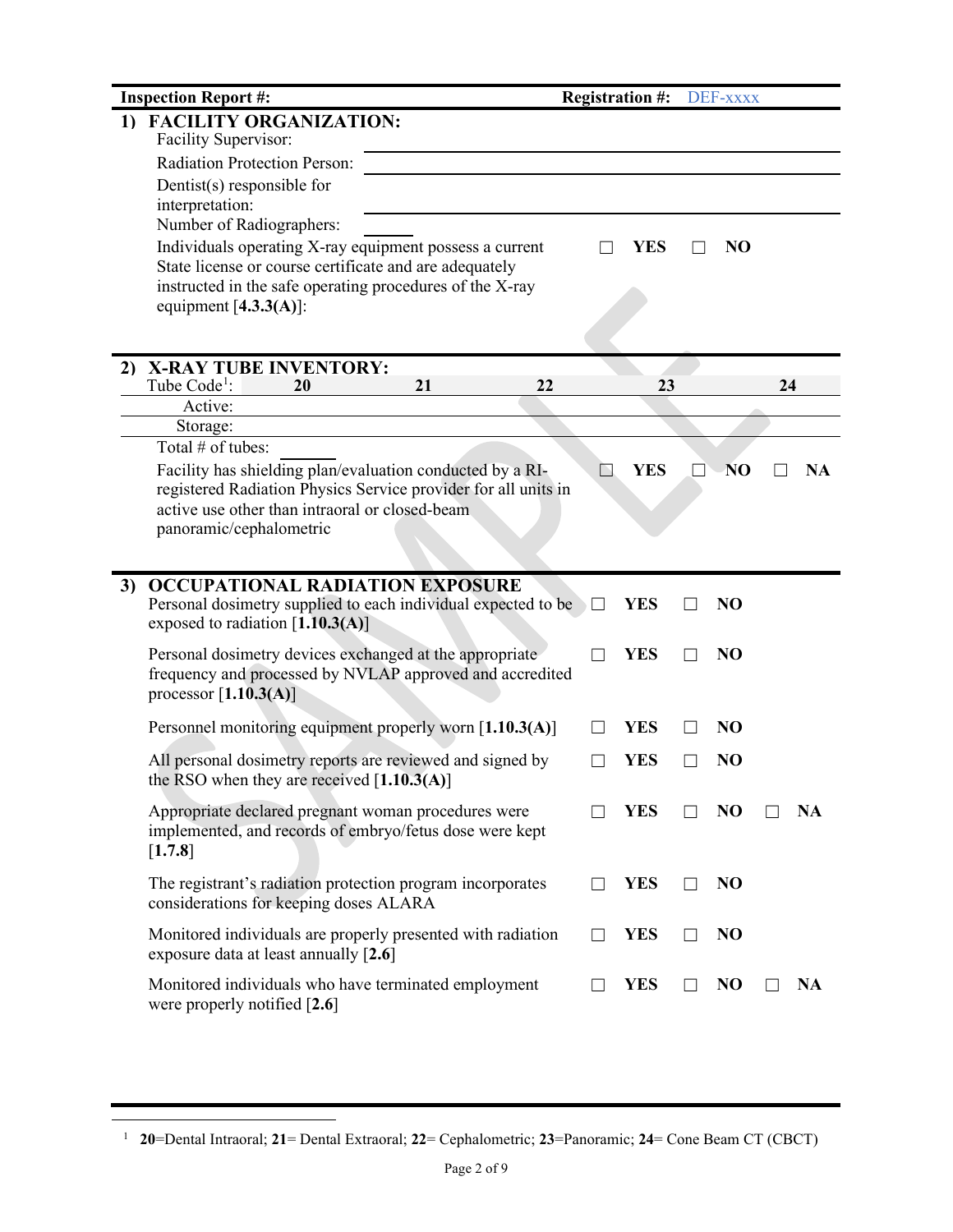|    | <b>Inspection Report #:</b>                                                                                                 |          |               | <b>Registration #:</b> | DEF-xxxx        |    |           |
|----|-----------------------------------------------------------------------------------------------------------------------------|----------|---------------|------------------------|-----------------|----|-----------|
|    | 1) FACILITY ORGANIZATION:<br>Facility Supervisor:                                                                           |          |               |                        |                 |    |           |
|    | Radiation Protection Person:                                                                                                |          |               |                        |                 |    |           |
|    | Dentist $(s)$ responsible for<br>interpretation:                                                                            |          |               |                        |                 |    |           |
|    | Number of Radiographers:                                                                                                    |          |               |                        |                 |    |           |
|    | Individuals operating X-ray equipment possess a current                                                                     |          |               | YES                    | N <sub>O</sub>  |    |           |
|    | State license or course certificate and are adequately                                                                      |          |               |                        |                 |    |           |
|    | instructed in the safe operating procedures of the X-ray<br>equipment $[4.3.3(A)]$ :                                        |          |               |                        |                 |    |           |
|    |                                                                                                                             |          |               |                        |                 |    |           |
|    |                                                                                                                             |          |               |                        |                 |    |           |
| 2) | <b>X-RAY TUBE INVENTORY:</b><br>Tube Code <sup>1</sup> :<br>20                                                              | 21<br>22 |               | 23                     |                 | 24 |           |
|    | Active:                                                                                                                     |          |               |                        |                 |    |           |
|    | Storage:                                                                                                                    |          |               |                        |                 |    |           |
|    | Total # of tubes:                                                                                                           |          |               |                        |                 |    |           |
|    | Facility has shielding plan/evaluation conducted by a RI-<br>registered Radiation Physics Service provider for all units in |          | N             | <b>YES</b>             | NO <sub>1</sub> |    | <b>NA</b> |
|    | active use other than intraoral or closed-beam                                                                              |          |               |                        |                 |    |           |
|    | panoramic/cephalometric                                                                                                     |          |               |                        |                 |    |           |
|    |                                                                                                                             |          |               |                        |                 |    |           |
| 3) | <b>OCCUPATIONAL RADIATION EXPOSURE</b>                                                                                      |          |               |                        |                 |    |           |
|    | Personal dosimetry supplied to each individual expected to be                                                               |          |               | <b>YES</b>             | NO              |    |           |
|    | exposed to radiation $[1.10.3(A)]$                                                                                          |          |               |                        |                 |    |           |
|    | Personal dosimetry devices exchanged at the appropriate                                                                     |          |               | <b>YES</b>             | N <sub>O</sub>  |    |           |
|    | frequency and processed by NVLAP approved and accredited<br>processor $[1.10.3(A)]$                                         |          |               |                        |                 |    |           |
|    |                                                                                                                             |          |               |                        |                 |    |           |
|    | Personnel monitoring equipment properly worn [1.10.3(A)]                                                                    |          | $\mathcal{L}$ | <b>YES</b>             | NO              |    |           |
|    | All personal dosimetry reports are reviewed and signed by                                                                   |          |               | YES                    | N <sub>O</sub>  |    |           |
|    | the RSO when they are received $[1.10.3(A)]$                                                                                |          |               |                        |                 |    |           |
|    | Appropriate declared pregnant woman procedures were                                                                         |          |               | <b>YES</b>             | NO              |    | NA        |
|    | implemented, and records of embryo/fetus dose were kept                                                                     |          |               |                        |                 |    |           |
|    | [1.7.8]                                                                                                                     |          |               |                        |                 |    |           |
|    | The registrant's radiation protection program incorporates                                                                  |          | $\mathbf{I}$  | <b>YES</b>             | NO              |    |           |
|    | considerations for keeping doses ALARA                                                                                      |          |               |                        |                 |    |           |
|    | Monitored individuals are properly presented with radiation                                                                 |          |               | <b>YES</b>             | N <sub>O</sub>  |    |           |
|    | exposure data at least annually [2.6]                                                                                       |          |               |                        |                 |    |           |
|    | Monitored individuals who have terminated employment                                                                        |          |               | <b>YES</b>             | N <sub>O</sub>  |    | NA        |
|    | were properly notified [2.6]                                                                                                |          |               |                        |                 |    |           |

<span id="page-1-0"></span><sup>1</sup> **20**=Dental Intraoral; **21**= Dental Extraoral; **22**= Cephalometric; **23**=Panoramic; **24**= Cone Beam CT (CBCT)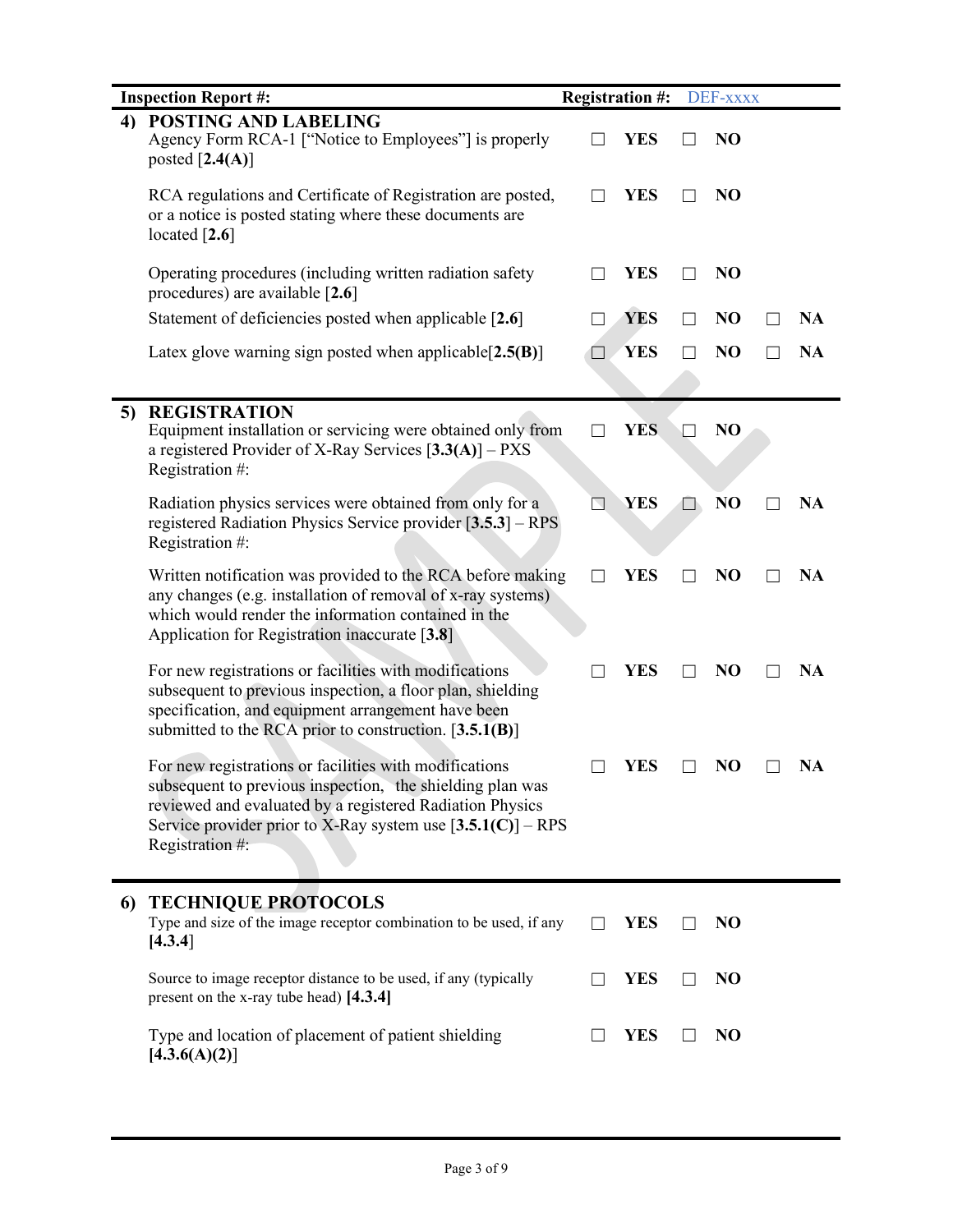|    | <b>Inspection Report #:</b>                                                                                                                                                                                                                                         | <b>Registration #:</b> |            | DEF-xxxx       |           |
|----|---------------------------------------------------------------------------------------------------------------------------------------------------------------------------------------------------------------------------------------------------------------------|------------------------|------------|----------------|-----------|
|    | 4) POSTING AND LABELING<br>Agency Form RCA-1 ["Notice to Employees"] is properly<br>posted $[2.4(A)]$                                                                                                                                                               |                        | <b>YES</b> | N <sub>O</sub> |           |
|    | RCA regulations and Certificate of Registration are posted,<br>or a notice is posted stating where these documents are<br>located $[2.6]$                                                                                                                           |                        | <b>YES</b> | N <sub>O</sub> |           |
|    | Operating procedures (including written radiation safety<br>procedures) are available [2.6]                                                                                                                                                                         | ΓI                     | <b>YES</b> | N <sub>O</sub> |           |
|    | Statement of deficiencies posted when applicable [2.6]                                                                                                                                                                                                              |                        | <b>YES</b> | N <sub>O</sub> | <b>NA</b> |
|    | Latex glove warning sign posted when applicable $[2.5(B)]$                                                                                                                                                                                                          | $\Box$                 | <b>YES</b> | N <sub>O</sub> | <b>NA</b> |
| 5) | <b>REGISTRATION</b><br>Equipment installation or servicing were obtained only from<br>a registered Provider of X-Ray Services $[3.3(A)] - PXS$<br>Registration #:                                                                                                   | $\Box$                 | <b>YES</b> | N <sub>O</sub> |           |
|    | Radiation physics services were obtained from only for a<br>registered Radiation Physics Service provider [3.5.3] – RPS<br>Registration #:                                                                                                                          | N                      | <b>YES</b> | NO             | NA        |
|    | Written notification was provided to the RCA before making<br>any changes (e.g. installation of removal of x-ray systems)<br>which would render the information contained in the<br>Application for Registration inaccurate [3.8]                                   |                        | <b>YES</b> | N <sub>O</sub> | <b>NA</b> |
|    | For new registrations or facilities with modifications<br>subsequent to previous inspection, a floor plan, shielding<br>specification, and equipment arrangement have been<br>submitted to the RCA prior to construction. $[3.5.1(B)]$                              |                        | <b>YES</b> | N <sub>O</sub> | <b>NA</b> |
|    | For new registrations or facilities with modifications<br>subsequent to previous inspection, the shielding plan was<br>reviewed and evaluated by a registered Radiation Physics<br>Service provider prior to X-Ray system use $[3.5.1(C)]$ – RPS<br>Registration #: |                        | <b>YES</b> | N <sub>O</sub> | <b>NA</b> |
| 6  | <b>TECHNIQUE PROTOCOLS</b><br>Type and size of the image receptor combination to be used, if any<br>[4.3.4]                                                                                                                                                         |                        | <b>YES</b> | N <sub>O</sub> |           |
|    | Source to image receptor distance to be used, if any (typically<br>present on the x-ray tube head) [4.3.4]                                                                                                                                                          |                        | <b>YES</b> | N <sub>O</sub> |           |
|    | Type and location of placement of patient shielding<br>[4.3.6(A)(2)]                                                                                                                                                                                                |                        | <b>YES</b> | N <sub>O</sub> |           |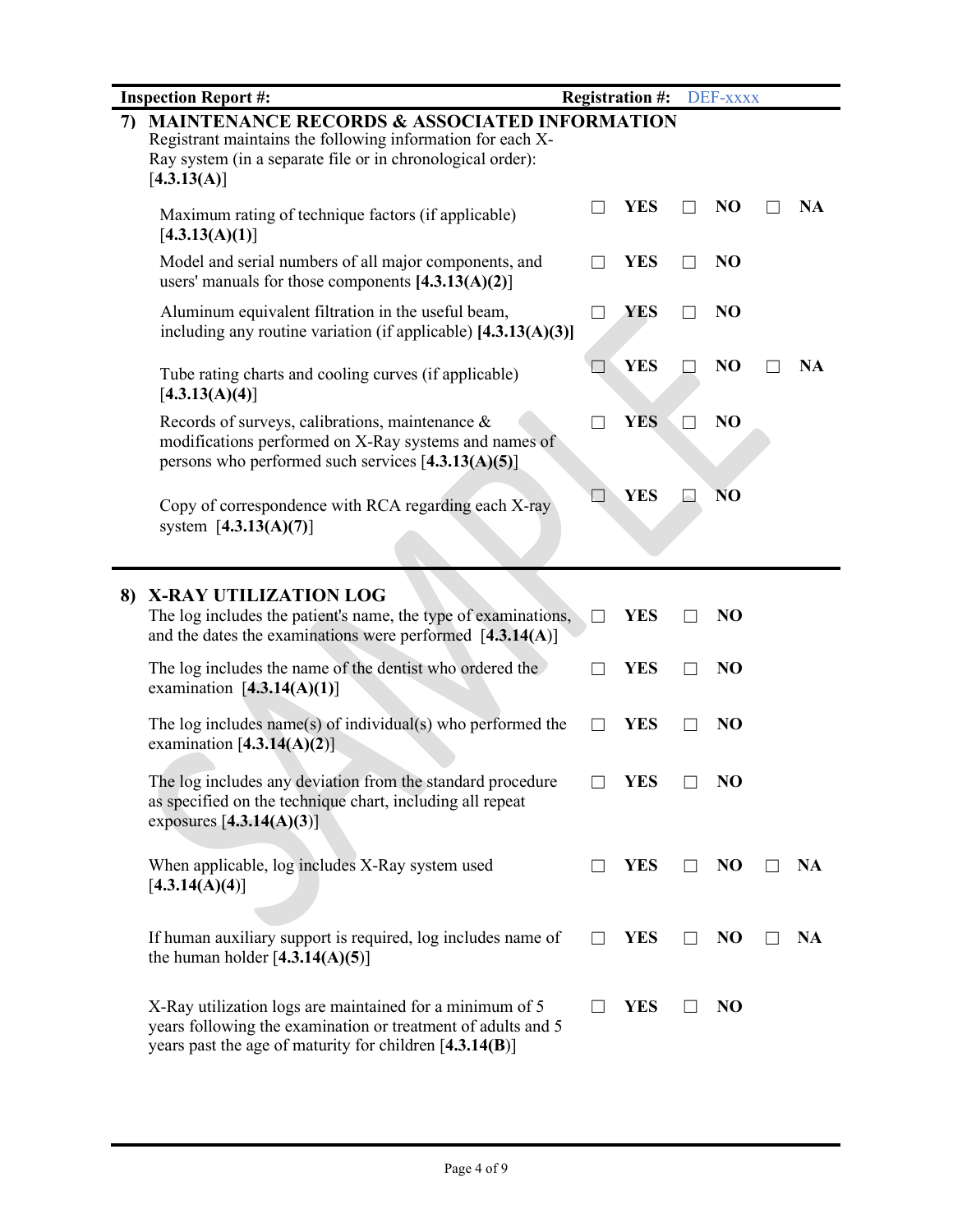|    | <b>Inspection Report #:</b>                                                                                                                                                                        |                | <b>Registration #:</b> | DEF-xxxx       |           |
|----|----------------------------------------------------------------------------------------------------------------------------------------------------------------------------------------------------|----------------|------------------------|----------------|-----------|
| 7) | <b>MAINTENANCE RECORDS &amp; ASSOCIATED INFORMATION</b><br>Registrant maintains the following information for each X-<br>Ray system (in a separate file or in chronological order):<br>[4.3.13(A)] |                |                        |                |           |
|    | Maximum rating of technique factors (if applicable)<br>[4.3.13(A)(1)]                                                                                                                              |                | <b>YES</b>             | N <sub>O</sub> | <b>NA</b> |
|    | Model and serial numbers of all major components, and<br>users' manuals for those components $[4.3.13(A)(2)]$                                                                                      |                | <b>YES</b>             | N <sub>O</sub> |           |
|    | Aluminum equivalent filtration in the useful beam,<br>including any routine variation (if applicable) $[4.3.13(A)(3)]$                                                                             | $\Box$         | YES                    | N <sub>O</sub> |           |
|    | Tube rating charts and cooling curves (if applicable)<br>[4.3.13(A)(4)]                                                                                                                            | $\blacksquare$ | <b>YES</b>             | N <sub>O</sub> | <b>NA</b> |
|    | Records of surveys, calibrations, maintenance &<br>modifications performed on X-Ray systems and names of<br>persons who performed such services $[4.3.13(A)(5)]$                                   |                | <b>YES</b>             | N <sub>O</sub> |           |
|    | Copy of correspondence with RCA regarding each X-ray<br>system $[4.3.13(A)(7)]$                                                                                                                    |                | <b>YES</b>             | N <sub>O</sub> |           |
|    |                                                                                                                                                                                                    |                |                        |                |           |
| 8) | X-RAY UTILIZATION LOG<br>The log includes the patient's name, the type of examinations,<br>and the dates the examinations were performed $[4.3.14(A)]$                                             | $\Box$         | <b>YES</b>             | NO             |           |
|    | The log includes the name of the dentist who ordered the<br>examination $[4.3.14(A)(1)]$                                                                                                           |                | <b>YES</b>             | NO             |           |
|    | The log includes name(s) of individual(s) who performed the<br>examination $[4.3.14(A)(2)]$                                                                                                        |                | <b>YES</b>             | NO             |           |
|    | The log includes any deviation from the standard procedure<br>as specified on the technique chart, including all repeat<br>exposures $[4.3.14(A)(3)]$                                              |                | <b>YES</b>             | NO             |           |
|    | When applicable, log includes X-Ray system used<br>[4.3.14(A)(4)]                                                                                                                                  | $\Box$         | <b>YES</b>             | N <sub>O</sub> | <b>NA</b> |
|    | If human auxiliary support is required, log includes name of<br>the human holder $[4.3.14(A)(5)]$                                                                                                  |                | <b>YES</b>             | N <sub>O</sub> | <b>NA</b> |
|    | X-Ray utilization logs are maintained for a minimum of 5<br>years following the examination or treatment of adults and 5<br>years past the age of maturity for children $[4.3.14(B)]$              |                | <b>YES</b>             | NO             |           |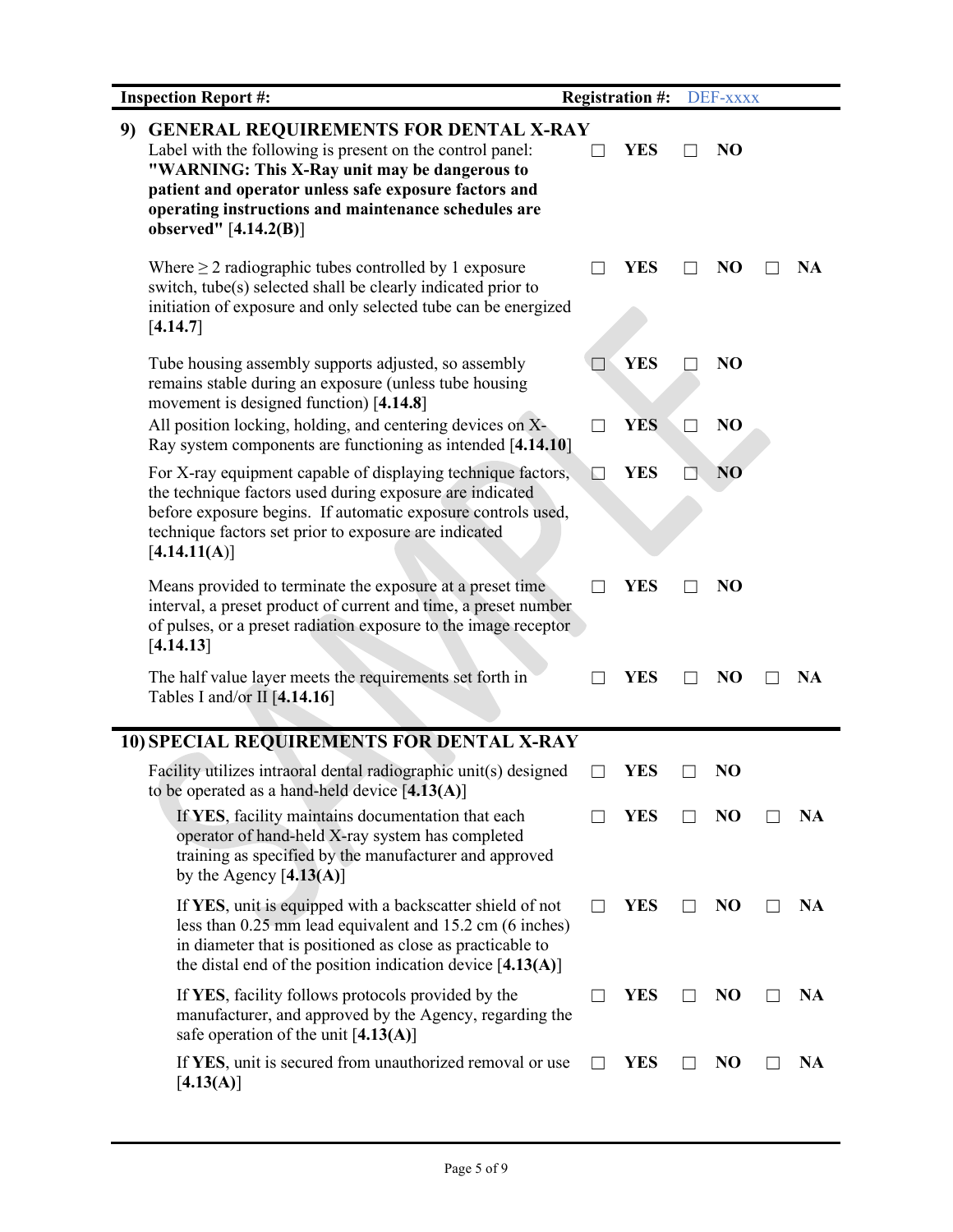|    | <b>Inspection Report #:</b>                                                                                                                                                                                                                                                                          |        | <b>Registration #:</b> | DEF-xxxx       |           |
|----|------------------------------------------------------------------------------------------------------------------------------------------------------------------------------------------------------------------------------------------------------------------------------------------------------|--------|------------------------|----------------|-----------|
| 9) | <b>GENERAL REQUIREMENTS FOR DENTAL X-RAY</b><br>Label with the following is present on the control panel:<br>"WARNING: This X-Ray unit may be dangerous to<br>patient and operator unless safe exposure factors and<br>operating instructions and maintenance schedules are<br>observed" [4.14.2(B)] |        | <b>YES</b>             | NO             |           |
|    | Where $\geq 2$ radiographic tubes controlled by 1 exposure<br>switch, tube(s) selected shall be clearly indicated prior to<br>initiation of exposure and only selected tube can be energized<br>[4.14.7]                                                                                             |        | YES                    | N <sub>O</sub> | NA        |
|    | Tube housing assembly supports adjusted, so assembly<br>remains stable during an exposure (unless tube housing<br>movement is designed function) [4.14.8]                                                                                                                                            |        | <b>YES</b>             | N <sub>O</sub> |           |
|    | All position locking, holding, and centering devices on X-<br>Ray system components are functioning as intended [4.14.10]                                                                                                                                                                            | $\Box$ | <b>YES</b>             | N <sub>O</sub> |           |
|    | For X-ray equipment capable of displaying technique factors,<br>the technique factors used during exposure are indicated<br>before exposure begins. If automatic exposure controls used,<br>technique factors set prior to exposure are indicated<br>[4.14.11(A)]                                    | ЬI     | <b>YES</b>             | N <sub>O</sub> |           |
|    | Means provided to terminate the exposure at a preset time<br>interval, a preset product of current and time, a preset number<br>of pulses, or a preset radiation exposure to the image receptor<br>[4.14.13]                                                                                         |        | <b>YES</b>             | N <sub>O</sub> |           |
|    | The half value layer meets the requirements set forth in<br>Tables I and/or II $[4.14.16]$                                                                                                                                                                                                           |        | <b>YES</b>             | N <sub>O</sub> | NA        |
|    | 10) SPECIAL REQUIREMENTS FOR DENTAL X-RAY                                                                                                                                                                                                                                                            |        |                        |                |           |
|    | Facility utilizes intraoral dental radiographic unit(s) designed<br>to be operated as a hand-held device $[4.13(A)]$                                                                                                                                                                                 |        | <b>YES</b>             | N <sub>O</sub> |           |
|    | If YES, facility maintains documentation that each<br>operator of hand-held X-ray system has completed<br>training as specified by the manufacturer and approved<br>by the Agency $[4.13(A)]$                                                                                                        |        | YES                    | NO             | NA        |
|    | If YES, unit is equipped with a backscatter shield of not<br>less than 0.25 mm lead equivalent and 15.2 cm (6 inches)<br>in diameter that is positioned as close as practicable to<br>the distal end of the position indication device $[4.13(A)]$                                                   |        | YES                    | N <sub>O</sub> | NA        |
|    | If YES, facility follows protocols provided by the<br>manufacturer, and approved by the Agency, regarding the<br>safe operation of the unit $[4.13(A)]$                                                                                                                                              |        | YES                    | N <sub>O</sub> | <b>NA</b> |
|    | If YES, unit is secured from unauthorized removal or use<br>[4.13(A)]                                                                                                                                                                                                                                |        | YES                    | NO             | NA        |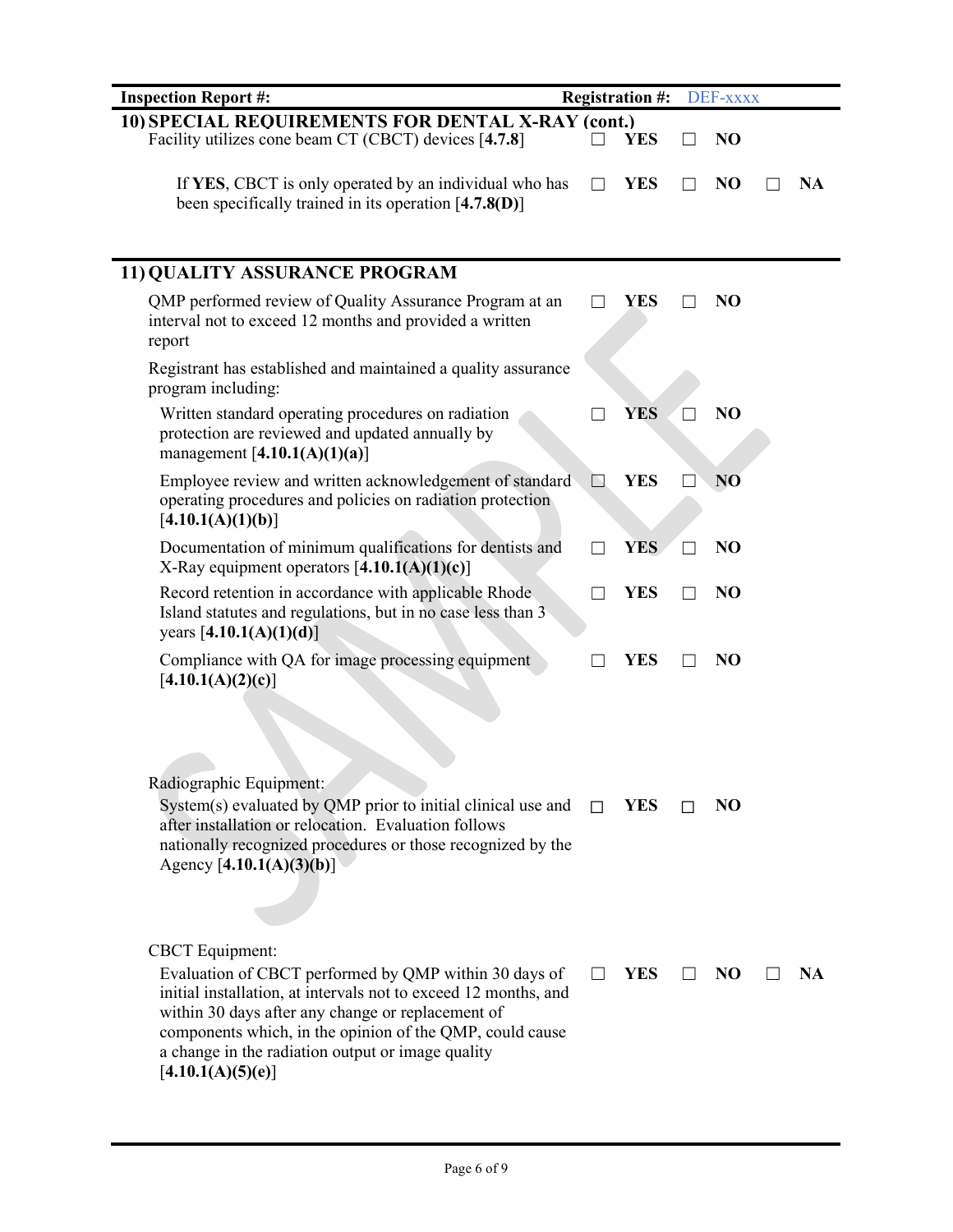| <b>Inspection Report #:</b>                                                                                                                                                                                                                                                                                                                   |              | <b>Registration #:</b> | DEF-xxxx       |    |
|-----------------------------------------------------------------------------------------------------------------------------------------------------------------------------------------------------------------------------------------------------------------------------------------------------------------------------------------------|--------------|------------------------|----------------|----|
| 10) SPECIAL REQUIREMENTS FOR DENTAL X-RAY (cont.)                                                                                                                                                                                                                                                                                             |              |                        |                |    |
| Facility utilizes cone beam CT (CBCT) devices [4.7.8]                                                                                                                                                                                                                                                                                         |              | <b>YES</b>             | N <sub>O</sub> |    |
| If YES, CBCT is only operated by an individual who has<br>been specifically trained in its operation $[4.7.8(D)]$                                                                                                                                                                                                                             |              | <b>YES</b>             | N <sub>O</sub> | NA |
| 11) QUALITY ASSURANCE PROGRAM                                                                                                                                                                                                                                                                                                                 |              |                        |                |    |
| QMP performed review of Quality Assurance Program at an<br>interval not to exceed 12 months and provided a written<br>report                                                                                                                                                                                                                  |              | <b>YES</b>             | N <sub>O</sub> |    |
| Registrant has established and maintained a quality assurance<br>program including:                                                                                                                                                                                                                                                           |              |                        |                |    |
| Written standard operating procedures on radiation<br>protection are reviewed and updated annually by<br>management $[4.10.1(A)(1)(a)]$                                                                                                                                                                                                       |              | <b>YES</b>             | NO             |    |
| Employee review and written acknowledgement of standard<br>operating procedures and policies on radiation protection<br>[4.10.1(A)(1)(b)]                                                                                                                                                                                                     | $\mathbb{N}$ | <b>YES</b>             | N <sub>O</sub> |    |
| Documentation of minimum qualifications for dentists and<br>X-Ray equipment operators $[4.10.1(A)(1)(c)]$                                                                                                                                                                                                                                     | $\Box$       | <b>YES</b>             | N <sub>O</sub> |    |
| Record retention in accordance with applicable Rhode<br>Island statutes and regulations, but in no case less than 3<br>years $[4.10.1(A)(1)(d)]$                                                                                                                                                                                              |              | <b>YES</b>             | N <sub>O</sub> |    |
| Compliance with QA for image processing equipment<br>[4.10.1(A)(2)(c)]                                                                                                                                                                                                                                                                        |              | YES                    | N <sub>O</sub> |    |
| Radiographic Equipment:<br>System(s) evaluated by QMP prior to initial clinical use and<br>after installation or relocation. Evaluation follows<br>nationally recognized procedures or those recognized by the<br>Agency $[4.10.1(A)(3)(b)]$                                                                                                  |              | YES                    | NO             |    |
| <b>CBCT</b> Equipment:<br>Evaluation of CBCT performed by QMP within 30 days of<br>initial installation, at intervals not to exceed 12 months, and<br>within 30 days after any change or replacement of<br>components which, in the opinion of the QMP, could cause<br>a change in the radiation output or image quality<br>[4.10.1(A)(5)(e)] |              | YES                    | NO             | NA |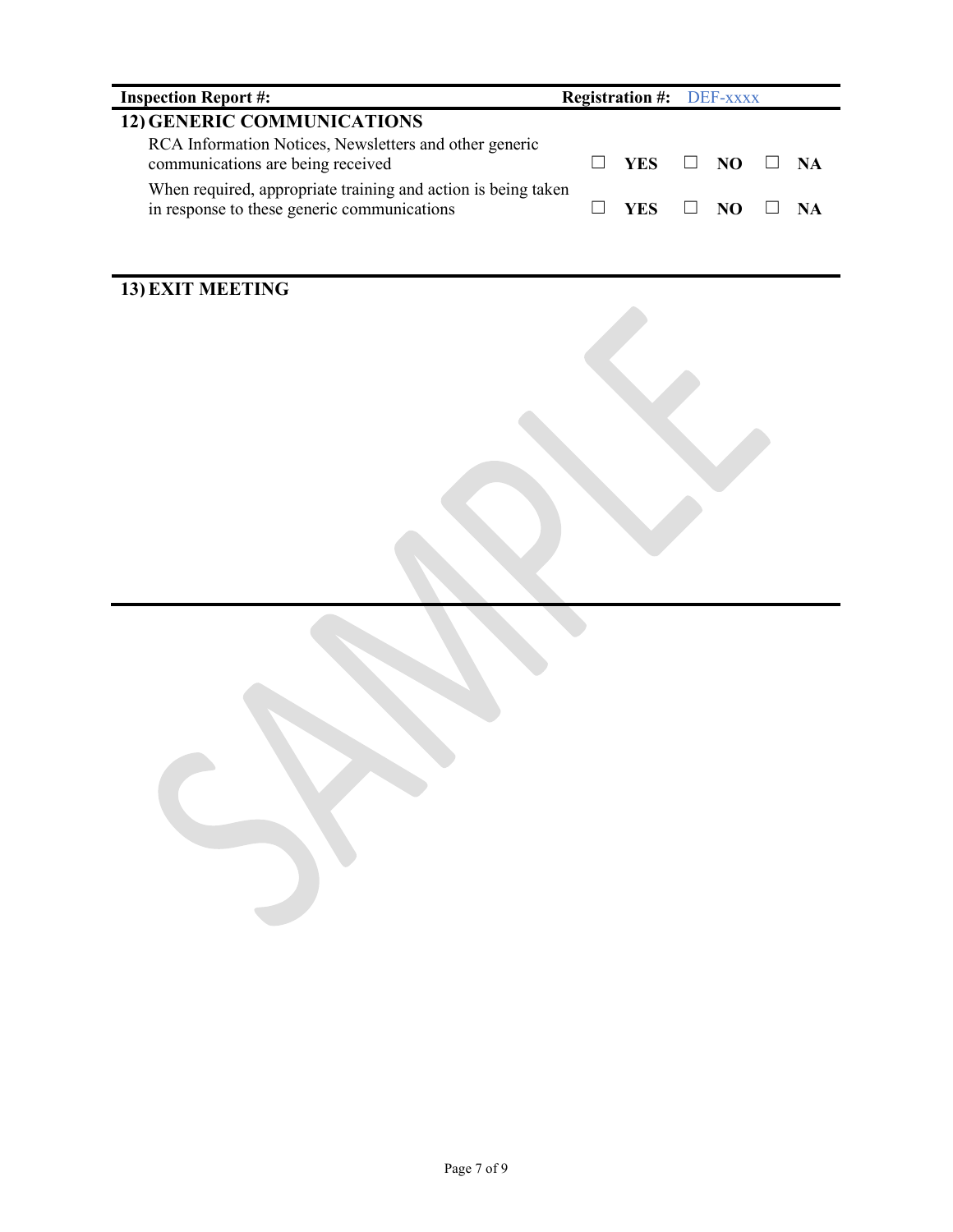| <b>Inspection Report #:</b>                                                                                  | <b>Registration #: DEF-XXXX</b> |                         |                  |      |
|--------------------------------------------------------------------------------------------------------------|---------------------------------|-------------------------|------------------|------|
| <b>12) GENERIC COMMUNICATIONS</b>                                                                            |                                 |                         |                  |      |
| RCA Information Notices, Newsletters and other generic<br>communications are being received                  |                                 | YES.                    | $\Box$ NO $\Box$ | - NA |
| When required, appropriate training and action is being taken<br>in response to these generic communications |                                 | YES $\Box$ NO $\Box$ NA |                  |      |
|                                                                                                              |                                 |                         |                  |      |

## **13) EXIT MEETING**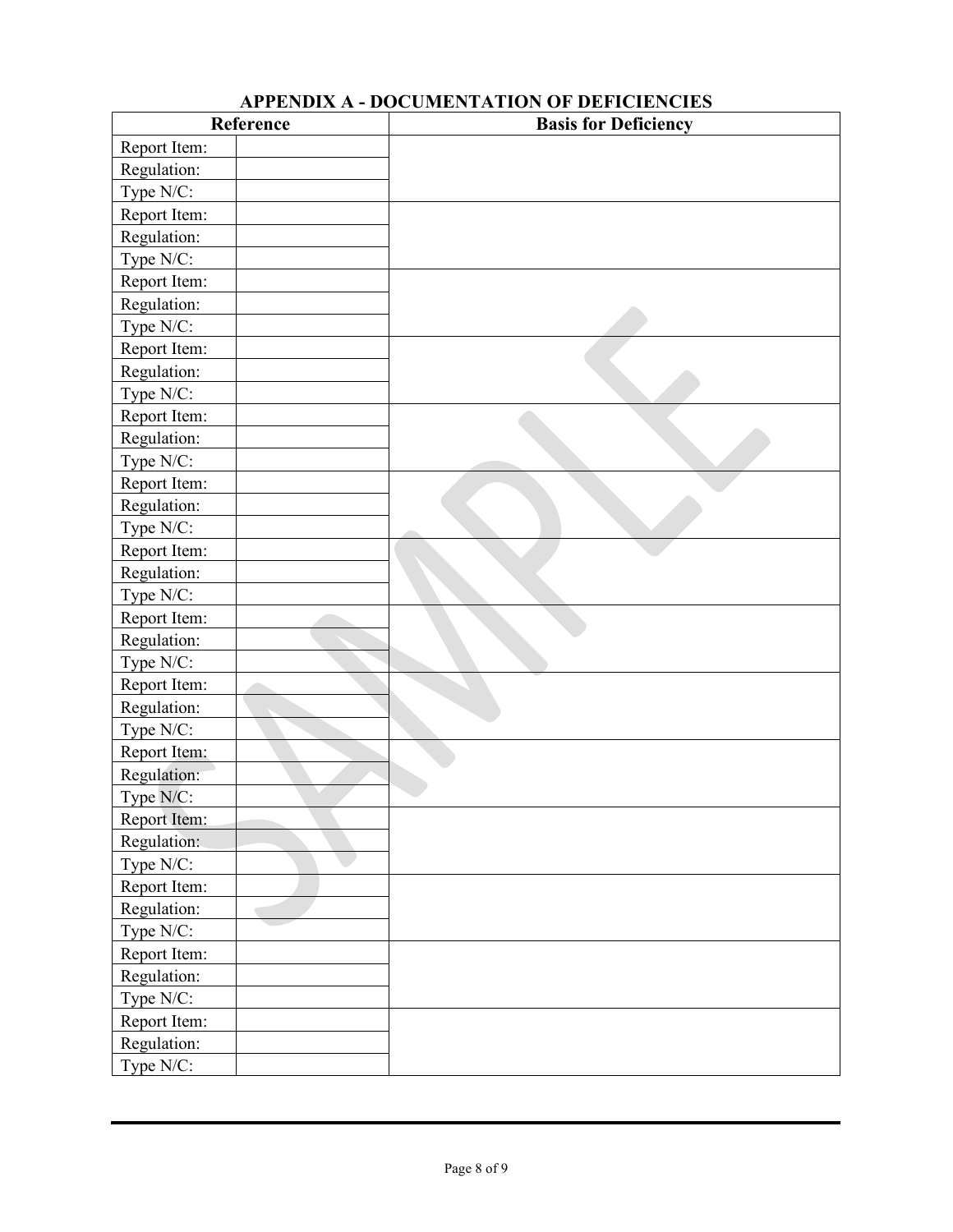## **APPENDIX A - DOCUMENTATION OF DEFICIENCIES**

|              | Reference                | <b>Basis for Deficiency</b> |
|--------------|--------------------------|-----------------------------|
| Report Item: |                          |                             |
| Regulation:  |                          |                             |
| Type N/C:    |                          |                             |
| Report Item: |                          |                             |
| Regulation:  |                          |                             |
| Type N/C:    |                          |                             |
| Report Item: |                          |                             |
| Regulation:  |                          |                             |
| Type N/C:    |                          |                             |
| Report Item: |                          |                             |
| Regulation:  |                          |                             |
| Type N/C:    |                          |                             |
| Report Item: |                          |                             |
| Regulation:  |                          |                             |
| Type N/C:    |                          |                             |
| Report Item: |                          |                             |
| Regulation:  |                          |                             |
| Type N/C:    |                          |                             |
| Report Item: |                          |                             |
| Regulation:  |                          |                             |
| Type N/C:    |                          |                             |
| Report Item: |                          |                             |
| Regulation:  |                          |                             |
| Type N/C:    |                          |                             |
| Report Item: |                          |                             |
| Regulation:  |                          |                             |
| Type N/C:    |                          |                             |
| Report Item: |                          |                             |
| Regulation:  |                          |                             |
| Type N/C:    |                          |                             |
| Report Item: |                          |                             |
| Regulation:  |                          |                             |
| Type N/C:    |                          |                             |
| Report Item: |                          |                             |
| Regulation:  | $\overline{\phantom{0}}$ |                             |
| Type N/C:    |                          |                             |
| Report Item: |                          |                             |
| Regulation:  |                          |                             |
| Type N/C:    |                          |                             |
| Report Item: |                          |                             |
| Regulation:  |                          |                             |
| Type N/C:    |                          |                             |